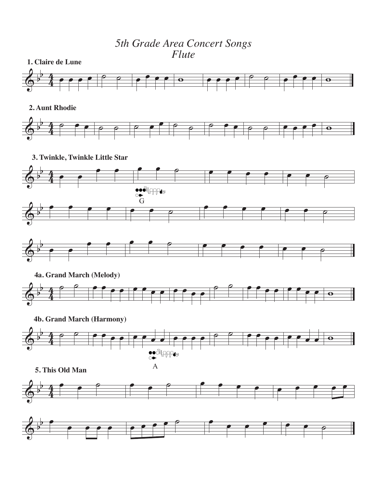*5th Grade Area Concert Songs Flute*